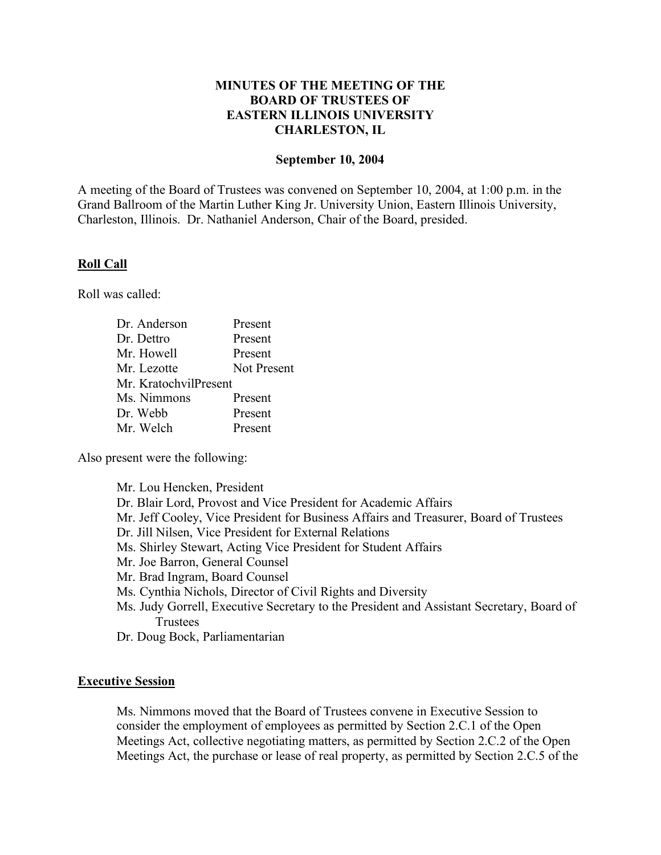# **MINUTES OF THE MEETING OF THE BOARD OF TRUSTEES OF EASTERN ILLINOIS UNIVERSITY CHARLESTON, IL**

## **September 10, 2004**

A meeting of the Board of Trustees was convened on September 10, 2004, at 1:00 p.m. in the Grand Ballroom of the Martin Luther King Jr. University Union, Eastern Illinois University, Charleston, Illinois. Dr. Nathaniel Anderson, Chair of the Board, presided.

### **Roll Call**

Roll was called:

| Dr. Anderson          | Present            |
|-----------------------|--------------------|
| Dr. Dettro            | Present            |
| Mr. Howell            | Present            |
| Mr. Lezotte           | <b>Not Present</b> |
| Mr. KratochvilPresent |                    |
| Ms. Nimmons           | Present            |
| Dr. Webb              | Present            |
| Mr. Welch             | Present            |

Also present were the following:

| Mr. Lou Hencken, President                                                               |
|------------------------------------------------------------------------------------------|
| Dr. Blair Lord, Provost and Vice President for Academic Affairs                          |
| Mr. Jeff Cooley, Vice President for Business Affairs and Treasurer, Board of Trustees    |
| Dr. Jill Nilsen, Vice President for External Relations                                   |
| Ms. Shirley Stewart, Acting Vice President for Student Affairs                           |
| Mr. Joe Barron, General Counsel                                                          |
| Mr. Brad Ingram, Board Counsel                                                           |
| Ms. Cynthia Nichols, Director of Civil Rights and Diversity                              |
| Ms. Judy Gorrell, Executive Secretary to the President and Assistant Secretary, Board of |
| Trustees                                                                                 |
|                                                                                          |

Dr. Doug Bock, Parliamentarian

### **Executive Session**

Ms. Nimmons moved that the Board of Trustees convene in Executive Session to consider the employment of employees as permitted by Section 2.C.1 of the Open Meetings Act, collective negotiating matters, as permitted by Section 2.C.2 of the Open Meetings Act, the purchase or lease of real property, as permitted by Section 2.C.5 of the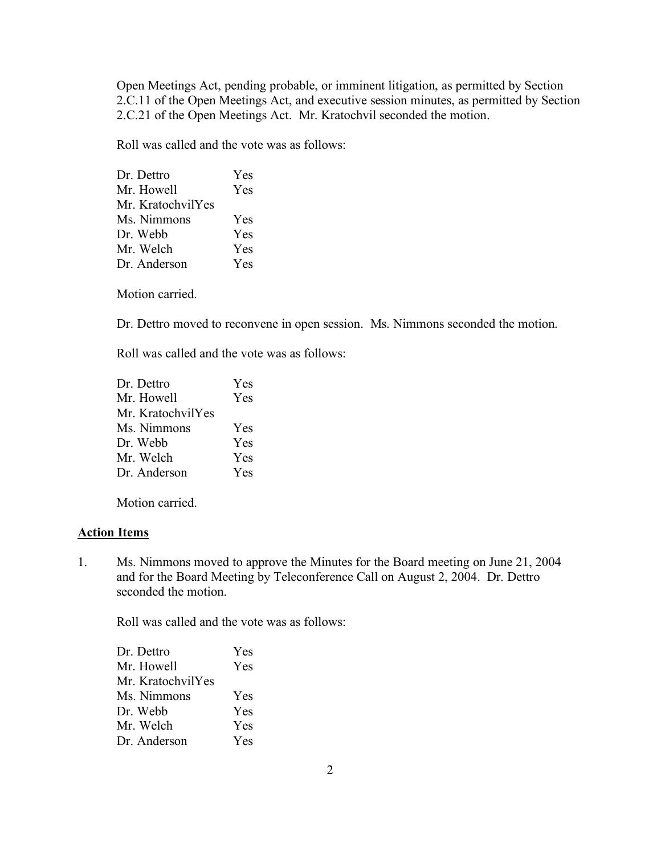Open Meetings Act, pending probable, or imminent litigation, as permitted by Section 2.C.11 of the Open Meetings Act, and executive session minutes, as permitted by Section 2.C.21 of the Open Meetings Act. Mr. Kratochvil seconded the motion.

Roll was called and the vote was as follows:

| Dr. Dettro        | Yes |
|-------------------|-----|
| Mr. Howell        | Yes |
| Mr. KratochvilYes |     |
| Ms. Nimmons       | Yes |
| Dr. Webb          | Yes |
| Mr. Welch         | Yes |
| Dr. Anderson      | Yes |

Motion carried.

Dr. Dettro moved to reconvene in open session. Ms. Nimmons seconded the motion.

Roll was called and the vote was as follows:

| Dr. Dettro        | Yes        |
|-------------------|------------|
| Mr. Howell        | Yes        |
| Mr. KratochvilYes |            |
| Ms. Nimmons       | Yes        |
| Dr. Webb          | <b>Yes</b> |
| Mr. Welch         | <b>Yes</b> |
| Dr. Anderson      | Yes        |

Motion carried.

#### **Action Items**

1. Ms. Nimmons moved to approve the Minutes for the Board meeting on June 21, 2004 and for the Board Meeting by Teleconference Call on August 2, 2004. Dr. Dettro seconded the motion.

| Dr. Dettro        | <b>Yes</b> |
|-------------------|------------|
| Mr. Howell        | Yes        |
| Mr. KratochvilYes |            |
| Ms. Nimmons       | <b>Yes</b> |
| Dr. Webb          | Yes        |
| Mr. Welch         | Yes        |
| Dr. Anderson      | <b>Yes</b> |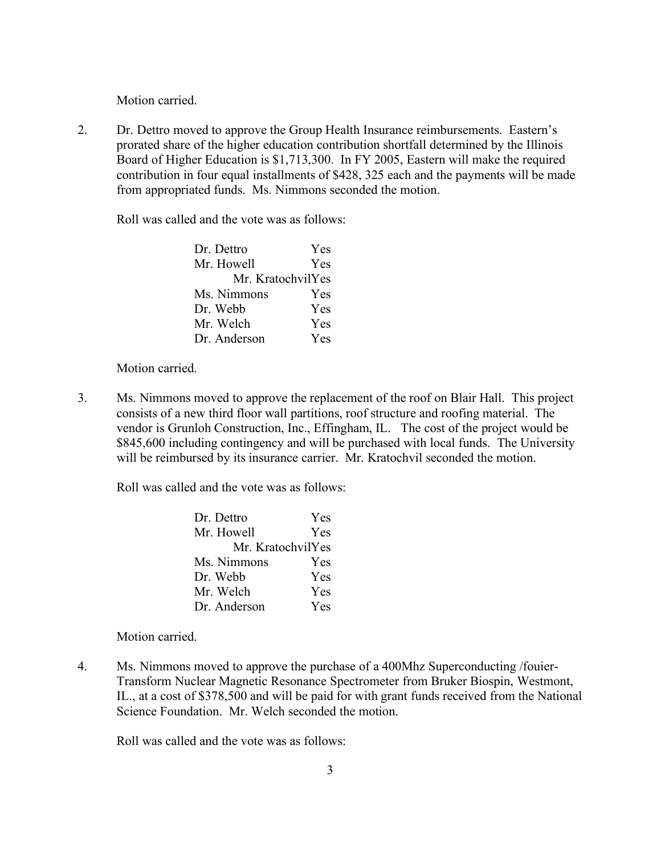2. Dr. Dettro moved to approve the Group Health Insurance reimbursements. Eastern's prorated share of the higher education contribution shortfall determined by the Illinois Board of Higher Education is \$1,713,300. In FY 2005, Eastern will make the required contribution in four equal installments of \$428, 325 each and the payments will be made from appropriated funds. Ms. Nimmons seconded the motion.

Roll was called and the vote was as follows:

| Dr. Dettro        | <b>Yes</b> |
|-------------------|------------|
| Mr. Howell        | Yes        |
| Mr. KratochvilYes |            |
| Ms. Nimmons       | Yes        |
| Dr. Webb          | Yes        |
| Mr. Welch         | <b>Yes</b> |
| Dr. Anderson      | Yes        |

Motion carried.

3. Ms. Nimmons moved to approve the replacement of the roof on Blair Hall. This project consists of a new third floor wall partitions, roof structure and roofing material. The vendor is Grunloh Construction, Inc., Effingham, IL. The cost of the project would be \$845,600 including contingency and will be purchased with local funds. The University will be reimbursed by its insurance carrier. Mr. Kratochvil seconded the motion.

Roll was called and the vote was as follows:

| Dr. Dettro        | <b>Yes</b> |
|-------------------|------------|
| Mr. Howell        | Yes        |
| Mr. KratochvilYes |            |
| Ms. Nimmons       | Yes        |
| Dr. Webb          | Yes        |
| Mr. Welch         | Yes        |
| Dr. Anderson      | Yes        |

Motion carried.

4. Ms. Nimmons moved to approve the purchase of a 400Mhz Superconducting /fouier-Transform Nuclear Magnetic Resonance Spectrometer from Bruker Biospin, Westmont, IL., at a cost of \$378,500 and will be paid for with grant funds received from the National Science Foundation. Mr. Welch seconded the motion.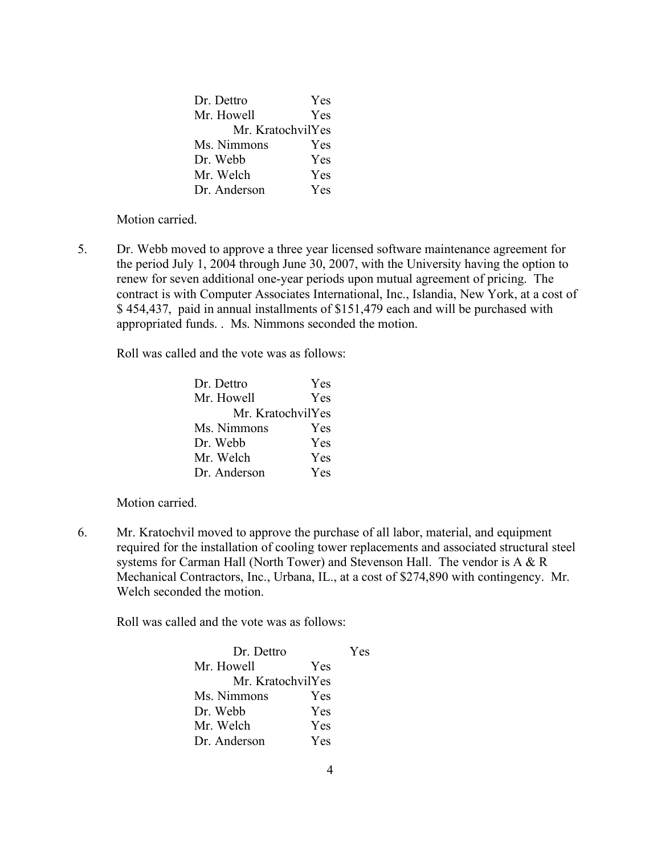| Dr. Dettro        | Yes |
|-------------------|-----|
| Mr. Howell        | Yes |
| Mr. KratochvilYes |     |
| Ms. Nimmons       | Yes |
| Dr. Webb          | Yes |
| Mr. Welch         | Yes |
| Dr. Anderson      | Yes |

5. Dr. Webb moved to approve a three year licensed software maintenance agreement for the period July 1, 2004 through June 30, 2007, with the University having the option to renew for seven additional one-year periods upon mutual agreement of pricing. The contract is with Computer Associates International, Inc., Islandia, New York, at a cost of \$ 454,437, paid in annual installments of \$151,479 each and will be purchased with appropriated funds. . Ms. Nimmons seconded the motion.

Roll was called and the vote was as follows:

| Dr. Dettro        | Yes |
|-------------------|-----|
| Mr. Howell        | Yes |
| Mr. KratochvilYes |     |
| Ms. Nimmons       | Yes |
| Dr. Webb          | Yes |
| Mr. Welch         | Yes |
| Dr. Anderson      | Yes |

Motion carried.

6. Mr. Kratochvil moved to approve the purchase of all labor, material, and equipment required for the installation of cooling tower replacements and associated structural steel systems for Carman Hall (North Tower) and Stevenson Hall. The vendor is A & R Mechanical Contractors, Inc., Urbana, IL., at a cost of \$274,890 with contingency. Mr. Welch seconded the motion.

| Dr. Dettro        |            | Yes |
|-------------------|------------|-----|
| Mr. Howell        | Yes        |     |
| Mr. KratochvilYes |            |     |
| Ms. Nimmons       | Yes        |     |
| Dr. Webb          | Yes        |     |
| Mr. Welch         | <b>Yes</b> |     |
| Dr. Anderson      | Yes        |     |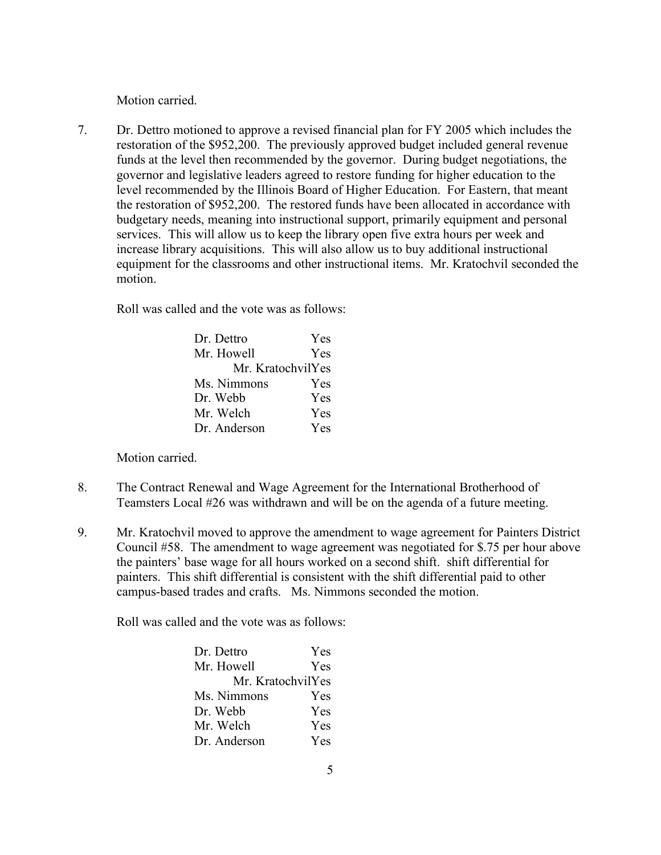7. Dr. Dettro motioned to approve a revised financial plan for FY 2005 which includes the restoration of the \$952,200. The previously approved budget included general revenue funds at the level then recommended by the governor. During budget negotiations, the governor and legislative leaders agreed to restore funding for higher education to the level recommended by the Illinois Board of Higher Education. For Eastern, that meant the restoration of \$952,200. The restored funds have been allocated in accordance with budgetary needs, meaning into instructional support, primarily equipment and personal services. This will allow us to keep the library open five extra hours per week and increase library acquisitions. This will also allow us to buy additional instructional equipment for the classrooms and other instructional items. Mr. Kratochvil seconded the motion.

Roll was called and the vote was as follows:

| Dr. Dettro        | Yes        |
|-------------------|------------|
| Mr. Howell        | Yes        |
| Mr. KratochvilYes |            |
| Ms. Nimmons       | Yes        |
| Dr. Webb          | Yes        |
| Mr. Welch         | Yes        |
| Dr. Anderson      | <b>Yes</b> |

Motion carried.

- 8. The Contract Renewal and Wage Agreement for the International Brotherhood of Teamsters Local #26 was withdrawn and will be on the agenda of a future meeting.
- 9. Mr. Kratochvil moved to approve the amendment to wage agreement for Painters District Council #58. The amendment to wage agreement was negotiated for \$.75 per hour above the painters' base wage for all hours worked on a second shift. shift differential for painters. This shift differential is consistent with the shift differential paid to other campus-based trades and crafts. Ms. Nimmons seconded the motion.

| Dr. Dettro        | <b>Yes</b> |
|-------------------|------------|
| Mr. Howell        | Yes        |
| Mr. KratochvilYes |            |
| Ms. Nimmons       | Yes        |
| Dr. Webb          | Yes        |
| Mr. Welch         | Yes        |
| Dr. Anderson      | Yes        |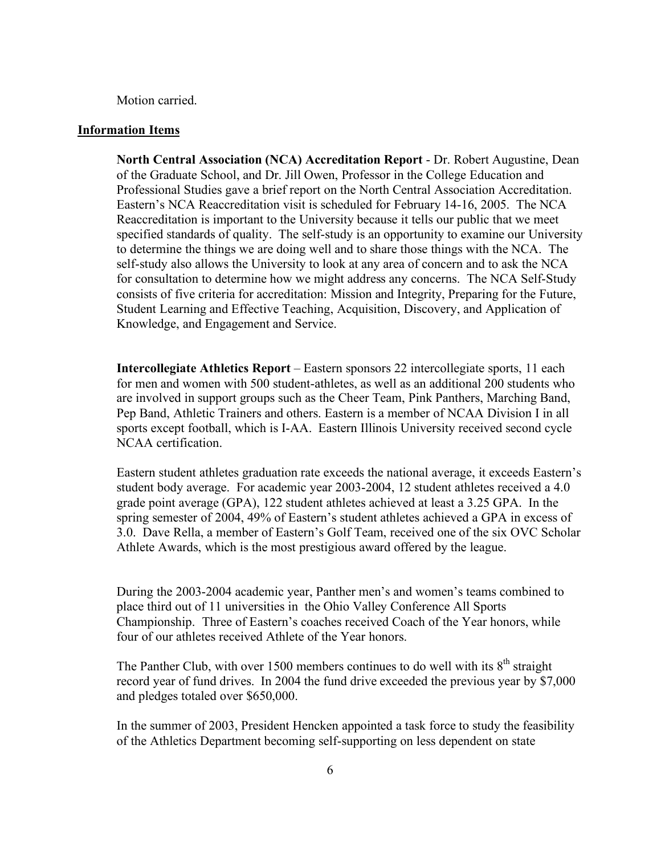### **Information Items**

**North Central Association (NCA) Accreditation Report** - Dr. Robert Augustine, Dean of the Graduate School, and Dr. Jill Owen, Professor in the College Education and Professional Studies gave a brief report on the North Central Association Accreditation. Eastern's NCA Reaccreditation visit is scheduled for February 14-16, 2005. The NCA Reaccreditation is important to the University because it tells our public that we meet specified standards of quality. The self-study is an opportunity to examine our University to determine the things we are doing well and to share those things with the NCA. The self-study also allows the University to look at any area of concern and to ask the NCA for consultation to determine how we might address any concerns. The NCA Self-Study consists of five criteria for accreditation: Mission and Integrity, Preparing for the Future, Student Learning and Effective Teaching, Acquisition, Discovery, and Application of Knowledge, and Engagement and Service.

**Intercollegiate Athletics Report** – Eastern sponsors 22 intercollegiate sports, 11 each for men and women with 500 student-athletes, as well as an additional 200 students who are involved in support groups such as the Cheer Team, Pink Panthers, Marching Band, Pep Band, Athletic Trainers and others. Eastern is a member of NCAA Division I in all sports except football, which is I-AA. Eastern Illinois University received second cycle NCAA certification.

Eastern student athletes graduation rate exceeds the national average, it exceeds Eastern's student body average. For academic year 2003-2004, 12 student athletes received a 4.0 grade point average (GPA), 122 student athletes achieved at least a 3.25 GPA. In the spring semester of 2004, 49% of Eastern's student athletes achieved a GPA in excess of 3.0. Dave Rella, a member of Eastern's Golf Team, received one of the six OVC Scholar Athlete Awards, which is the most prestigious award offered by the league.

During the 2003-2004 academic year, Panther men's and women's teams combined to place third out of 11 universities in the Ohio Valley Conference All Sports Championship. Three of Eastern's coaches received Coach of the Year honors, while four of our athletes received Athlete of the Year honors.

The Panther Club, with over 1500 members continues to do well with its  $8<sup>th</sup>$  straight record year of fund drives. In 2004 the fund drive exceeded the previous year by \$7,000 and pledges totaled over \$650,000.

In the summer of 2003, President Hencken appointed a task force to study the feasibility of the Athletics Department becoming self-supporting on less dependent on state